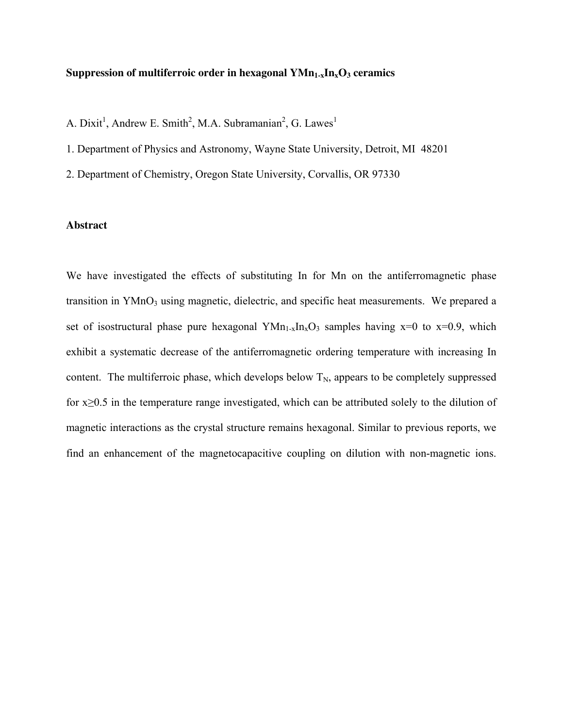# **Suppression of multiferroic order in hexagonal YMn1-xInxO3 ceramics**

- A. Dixit<sup>1</sup>, Andrew E. Smith<sup>2</sup>, M.A. Subramanian<sup>2</sup>, G. Lawes<sup>1</sup>
- 1. Department of Physics and Astronomy, Wayne State University, Detroit, MI 48201
- 2. Department of Chemistry, Oregon State University, Corvallis, OR 97330

# **Abstract**

We have investigated the effects of substituting In for Mn on the antiferromagnetic phase transition in YMnO<sub>3</sub> using magnetic, dielectric, and specific heat measurements. We prepared a set of isostructural phase pure hexagonal  $YMn_{1-x}In_xO_3$  samples having x=0 to x=0.9, which exhibit a systematic decrease of the antiferromagnetic ordering temperature with increasing In content. The multiferroic phase, which develops below  $T_N$ , appears to be completely suppressed for x≥0.5 in the temperature range investigated, which can be attributed solely to the dilution of magnetic interactions as the crystal structure remains hexagonal. Similar to previous reports, we find an enhancement of the magnetocapacitive coupling on dilution with non-magnetic ions.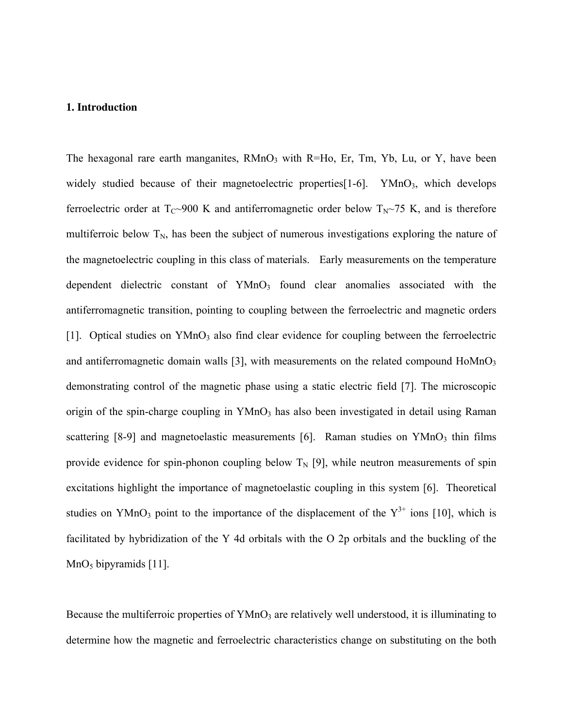#### **1. Introduction**

The hexagonal rare earth manganites,  $RMnO<sub>3</sub>$  with  $R=Ho$ , Er, Tm, Yb, Lu, or Y, have been widely studied because of their magnetoelectric properties  $[1-6]$ . YMnO<sub>3</sub>, which develops ferroelectric order at  $T_{C}$ -900 K and antiferromagnetic order below  $T_{N}$ -75 K, and is therefore multiferroic below  $T_N$ , has been the subject of numerous investigations exploring the nature of the magnetoelectric coupling in this class of materials. Early measurements on the temperature dependent dielectric constant of  $YMnO<sub>3</sub>$  found clear anomalies associated with the antiferromagnetic transition, pointing to coupling between the ferroelectric and magnetic orders  $[1]$ . Optical studies on YMnO<sub>3</sub> also find clear evidence for coupling between the ferroelectric and antiferromagnetic domain walls  $[3]$ , with measurements on the related compound HoMnO<sub>3</sub> demonstrating control of the magnetic phase using a static electric field [7]. The microscopic origin of the spin-charge coupling in  $YMnO<sub>3</sub>$  has also been investigated in detail using Raman scattering  $[8-9]$  and magnetoelastic measurements  $[6]$ . Raman studies on YMnO<sub>3</sub> thin films provide evidence for spin-phonon coupling below  $T_N$  [9], while neutron measurements of spin excitations highlight the importance of magnetoelastic coupling in this system [6]. Theoretical studies on YMnO<sub>3</sub> point to the importance of the displacement of the  $Y^{3+}$  ions [10], which is facilitated by hybridization of the Y 4d orbitals with the O 2p orbitals and the buckling of the  $MnO<sub>5</sub>$  bipyramids [11].

Because the multiferroic properties of  $YMnO<sub>3</sub>$  are relatively well understood, it is illuminating to determine how the magnetic and ferroelectric characteristics change on substituting on the both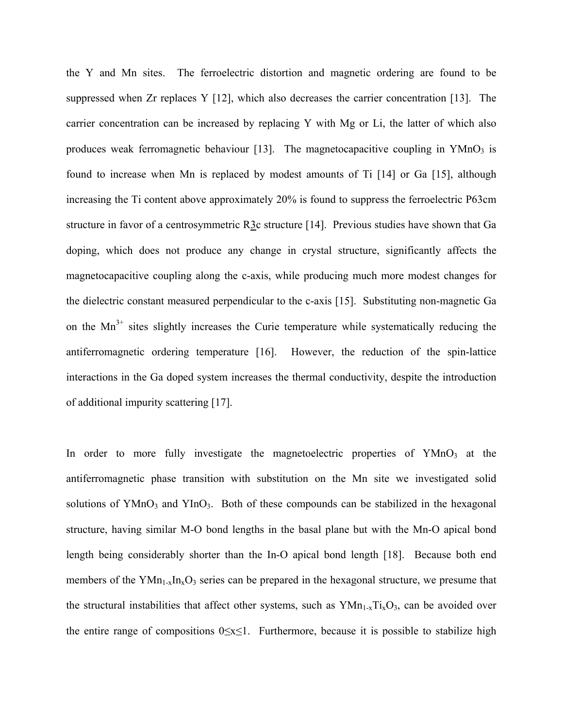the Y and Mn sites. The ferroelectric distortion and magnetic ordering are found to be suppressed when Zr replaces Y [12], which also decreases the carrier concentration [13]. The carrier concentration can be increased by replacing Y with Mg or Li, the latter of which also produces weak ferromagnetic behaviour [13]. The magnetocapacitive coupling in  $YMnO<sub>3</sub>$  is found to increase when Mn is replaced by modest amounts of Ti [14] or Ga [15], although increasing the Ti content above approximately 20% is found to suppress the ferroelectric P63cm structure in favor of a centrosymmetric R3c structure [14]. Previous studies have shown that Ga doping, which does not produce any change in crystal structure, significantly affects the magnetocapacitive coupling along the c-axis, while producing much more modest changes for the dielectric constant measured perpendicular to the c-axis [15]. Substituting non-magnetic Ga on the  $Mn^{3+}$  sites slightly increases the Curie temperature while systematically reducing the antiferromagnetic ordering temperature [16]. However, the reduction of the spin-lattice interactions in the Ga doped system increases the thermal conductivity, despite the introduction of additional impurity scattering [17].

In order to more fully investigate the magnetoelectric properties of YMnO<sub>3</sub> at the antiferromagnetic phase transition with substitution on the Mn site we investigated solid solutions of  $YMnO<sub>3</sub>$  and  $YInO<sub>3</sub>$ . Both of these compounds can be stabilized in the hexagonal structure, having similar M-O bond lengths in the basal plane but with the Mn-O apical bond length being considerably shorter than the In-O apical bond length [18]. Because both end members of the  $YMn_{1-x}In_xO_3$  series can be prepared in the hexagonal structure, we presume that the structural instabilities that affect other systems, such as  $YMn_{1-x}Ti_xO_3$ , can be avoided over the entire range of compositions 0≤x≤1. Furthermore, because it is possible to stabilize high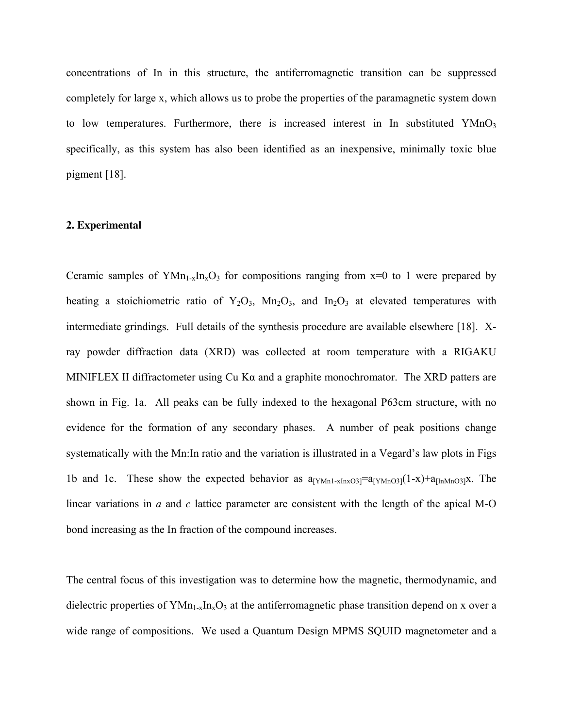concentrations of In in this structure, the antiferromagnetic transition can be suppressed completely for large x, which allows us to probe the properties of the paramagnetic system down to low temperatures. Furthermore, there is increased interest in In substituted  $YMnO<sub>3</sub>$ specifically, as this system has also been identified as an inexpensive, minimally toxic blue pigment [18].

# **2. Experimental**

Ceramic samples of  $YMn_{1-x}In_xO_3$  for compositions ranging from  $x=0$  to 1 were prepared by heating a stoichiometric ratio of  $Y_2O_3$ ,  $Mn_2O_3$ , and  $In_2O_3$  at elevated temperatures with intermediate grindings. Full details of the synthesis procedure are available elsewhere [18]. Xray powder diffraction data (XRD) was collected at room temperature with a RIGAKU MINIFLEX II diffractometer using Cu Kα and a graphite monochromator. The XRD patters are shown in Fig. 1a. All peaks can be fully indexed to the hexagonal P63cm structure, with no evidence for the formation of any secondary phases. A number of peak positions change systematically with the Mn:In ratio and the variation is illustrated in a Vegard's law plots in Figs 1b and 1c. These show the expected behavior as  $a_{[YMn1-xInxO3]}=a_{[YMnO3]}(1-x)+a_{[InMnO3]}x$ . The linear variations in *a* and *c* lattice parameter are consistent with the length of the apical M-O bond increasing as the In fraction of the compound increases.

The central focus of this investigation was to determine how the magnetic, thermodynamic, and dielectric properties of  $YMn_1$ <sub>x</sub>In<sub>x</sub>O<sub>3</sub> at the antiferromagnetic phase transition depend on x over a wide range of compositions. We used a Quantum Design MPMS SQUID magnetometer and a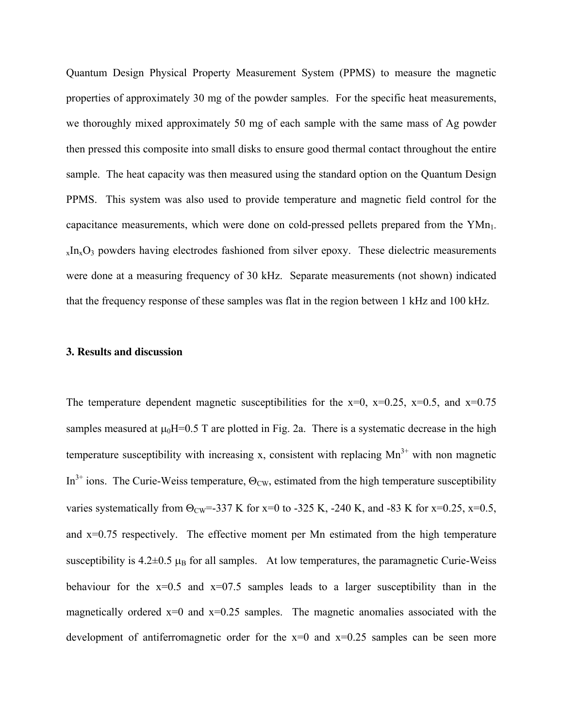Quantum Design Physical Property Measurement System (PPMS) to measure the magnetic properties of approximately 30 mg of the powder samples. For the specific heat measurements, we thoroughly mixed approximately 50 mg of each sample with the same mass of Ag powder then pressed this composite into small disks to ensure good thermal contact throughout the entire sample. The heat capacity was then measured using the standard option on the Quantum Design PPMS. This system was also used to provide temperature and magnetic field control for the capacitance measurements, which were done on cold-pressed pellets prepared from the  $YMn<sub>1</sub>$ .  $x \ln x$ O<sub>3</sub> powders having electrodes fashioned from silver epoxy. These dielectric measurements were done at a measuring frequency of 30 kHz. Separate measurements (not shown) indicated that the frequency response of these samples was flat in the region between 1 kHz and 100 kHz.

### **3. Results and discussion**

The temperature dependent magnetic susceptibilities for the  $x=0$ ,  $x=0.25$ ,  $x=0.5$ , and  $x=0.75$ samples measured at  $\mu_0H=0.5$  T are plotted in Fig. 2a. There is a systematic decrease in the high temperature susceptibility with increasing x, consistent with replacing  $Mn^{3+}$  with non magnetic In<sup>3+</sup> ions. The Curie-Weiss temperature,  $\Theta_{\text{CW}}$ , estimated from the high temperature susceptibility varies systematically from  $\Theta_{\text{CW}}$ =-337 K for x=0 to -325 K, -240 K, and -83 K for x=0.25, x=0.5, and x=0.75 respectively. The effective moment per Mn estimated from the high temperature susceptibility is  $4.2\pm0.5$   $\mu$ <sub>B</sub> for all samples. At low temperatures, the paramagnetic Curie-Weiss behaviour for the  $x=0.5$  and  $x=0.7.5$  samples leads to a larger susceptibility than in the magnetically ordered  $x=0$  and  $x=0.25$  samples. The magnetic anomalies associated with the development of antiferromagnetic order for the  $x=0$  and  $x=0.25$  samples can be seen more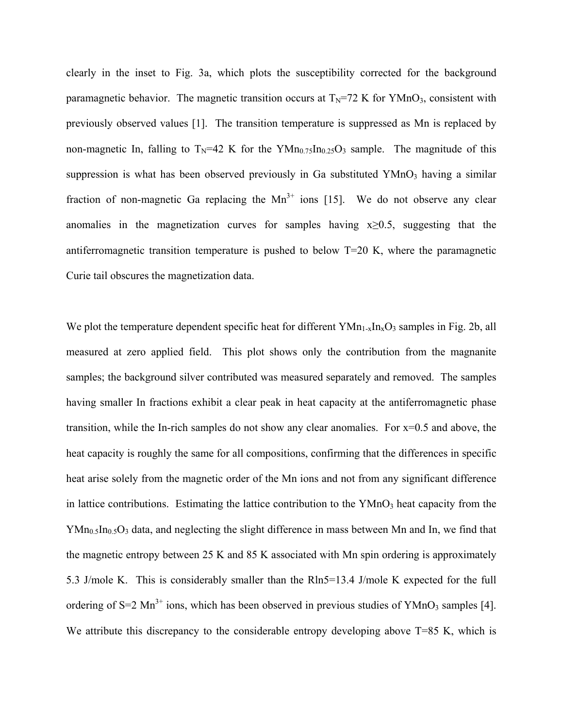clearly in the inset to Fig. 3a, which plots the susceptibility corrected for the background paramagnetic behavior. The magnetic transition occurs at  $T_N=72$  K for YMnO<sub>3</sub>, consistent with previously observed values [1]. The transition temperature is suppressed as Mn is replaced by non-magnetic In, falling to  $T_N=42$  K for the YMn<sub>0.75</sub>In<sub>0.25</sub>O<sub>3</sub> sample. The magnitude of this suppression is what has been observed previously in Ga substituted  $YMnO<sub>3</sub>$  having a similar fraction of non-magnetic Ga replacing the  $Mn^{3+}$  ions [15]. We do not observe any clear anomalies in the magnetization curves for samples having  $x\geq 0.5$ , suggesting that the antiferromagnetic transition temperature is pushed to below T=20 K, where the paramagnetic Curie tail obscures the magnetization data.

We plot the temperature dependent specific heat for different  $YMn_{1-x}In_xO_3$  samples in Fig. 2b, all measured at zero applied field. This plot shows only the contribution from the magnanite samples; the background silver contributed was measured separately and removed. The samples having smaller In fractions exhibit a clear peak in heat capacity at the antiferromagnetic phase transition, while the In-rich samples do not show any clear anomalies. For  $x=0.5$  and above, the heat capacity is roughly the same for all compositions, confirming that the differences in specific heat arise solely from the magnetic order of the Mn ions and not from any significant difference in lattice contributions. Estimating the lattice contribution to the  $YMnO<sub>3</sub>$  heat capacity from the  $YMn<sub>0.5</sub>ln<sub>0.5</sub>O<sub>3</sub> data, and neglecting the slight difference in mass between Mn and In, we find that$ the magnetic entropy between 25 K and 85 K associated with Mn spin ordering is approximately 5.3 J/mole K. This is considerably smaller than the Rln5=13.4 J/mole K expected for the full ordering of  $S=2$  Mn<sup>3+</sup> ions, which has been observed in previous studies of YMnO<sub>3</sub> samples [4]. We attribute this discrepancy to the considerable entropy developing above T=85 K, which is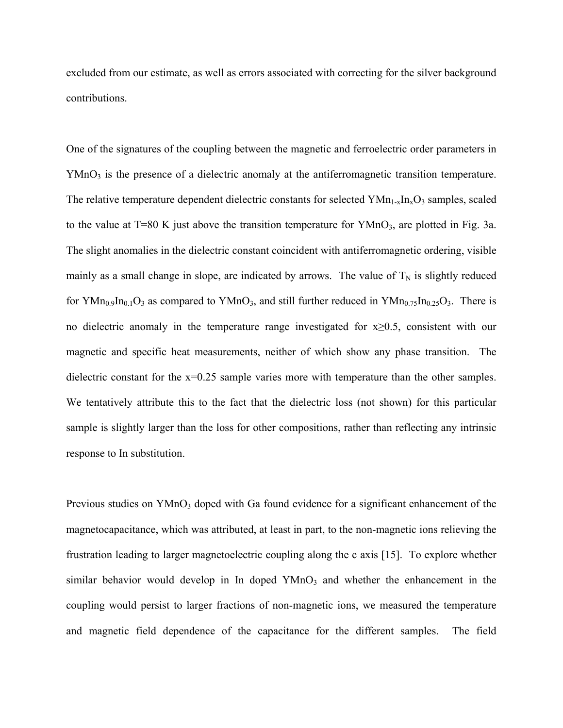excluded from our estimate, as well as errors associated with correcting for the silver background contributions.

One of the signatures of the coupling between the magnetic and ferroelectric order parameters in  $YMnO<sub>3</sub>$  is the presence of a dielectric anomaly at the antiferromagnetic transition temperature. The relative temperature dependent dielectric constants for selected  $YMn_{1-x}In_xO_3$  samples, scaled to the value at  $T=80$  K just above the transition temperature for  $YMnO<sub>3</sub>$ , are plotted in Fig. 3a. The slight anomalies in the dielectric constant coincident with antiferromagnetic ordering, visible mainly as a small change in slope, are indicated by arrows. The value of  $T_N$  is slightly reduced for YMn<sub>0.9</sub>In<sub>0.1</sub>O<sub>3</sub> as compared to YMnO<sub>3</sub>, and still further reduced in YMn<sub>0.75</sub>In<sub>0.25</sub>O<sub>3</sub>. There is no dielectric anomaly in the temperature range investigated for x≥0.5, consistent with our magnetic and specific heat measurements, neither of which show any phase transition. The dielectric constant for the  $x=0.25$  sample varies more with temperature than the other samples. We tentatively attribute this to the fact that the dielectric loss (not shown) for this particular sample is slightly larger than the loss for other compositions, rather than reflecting any intrinsic response to In substitution.

Previous studies on  $YMnO<sub>3</sub>$  doped with Ga found evidence for a significant enhancement of the magnetocapacitance, which was attributed, at least in part, to the non-magnetic ions relieving the frustration leading to larger magnetoelectric coupling along the c axis [15]. To explore whether similar behavior would develop in In doped  $YMnO<sub>3</sub>$  and whether the enhancement in the coupling would persist to larger fractions of non-magnetic ions, we measured the temperature and magnetic field dependence of the capacitance for the different samples. The field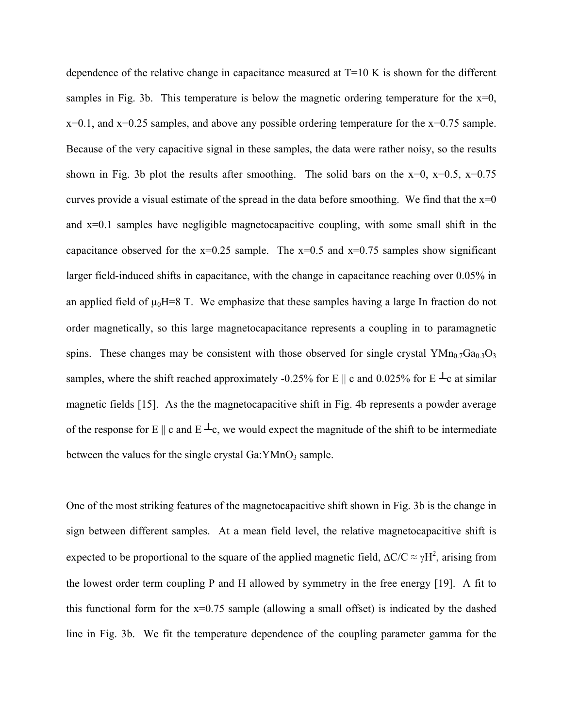dependence of the relative change in capacitance measured at  $T=10$  K is shown for the different samples in Fig. 3b. This temperature is below the magnetic ordering temperature for the  $x=0$ ,  $x=0.1$ , and  $x=0.25$  samples, and above any possible ordering temperature for the  $x=0.75$  sample. Because of the very capacitive signal in these samples, the data were rather noisy, so the results shown in Fig. 3b plot the results after smoothing. The solid bars on the  $x=0$ ,  $x=0.5$ ,  $x=0.75$ curves provide a visual estimate of the spread in the data before smoothing. We find that the  $x=0$ and x=0.1 samples have negligible magnetocapacitive coupling, with some small shift in the capacitance observed for the  $x=0.25$  sample. The  $x=0.5$  and  $x=0.75$  samples show significant larger field-induced shifts in capacitance, with the change in capacitance reaching over 0.05% in an applied field of  $\mu_0H=8$  T. We emphasize that these samples having a large In fraction do not order magnetically, so this large magnetocapacitance represents a coupling in to paramagnetic spins. These changes may be consistent with those observed for single crystal  $YMn_{0.7}Ga_{0.3}O_3$ samples, where the shift reached approximately -0.25% for E  $\parallel$  c and 0.025% for E  $\perp$ c at similar magnetic fields [15]. As the the magnetocapacitive shift in Fig. 4b represents a powder average of the response for E  $\parallel$  c and E  $\perp$ c, we would expect the magnitude of the shift to be intermediate between the values for the single crystal Ga: YMnO<sub>3</sub> sample.

One of the most striking features of the magnetocapacitive shift shown in Fig. 3b is the change in sign between different samples. At a mean field level, the relative magnetocapacitive shift is expected to be proportional to the square of the applied magnetic field,  $\Delta C/C \approx \gamma H^2$ , arising from the lowest order term coupling P and H allowed by symmetry in the free energy [19]. A fit to this functional form for the x=0.75 sample (allowing a small offset) is indicated by the dashed line in Fig. 3b. We fit the temperature dependence of the coupling parameter gamma for the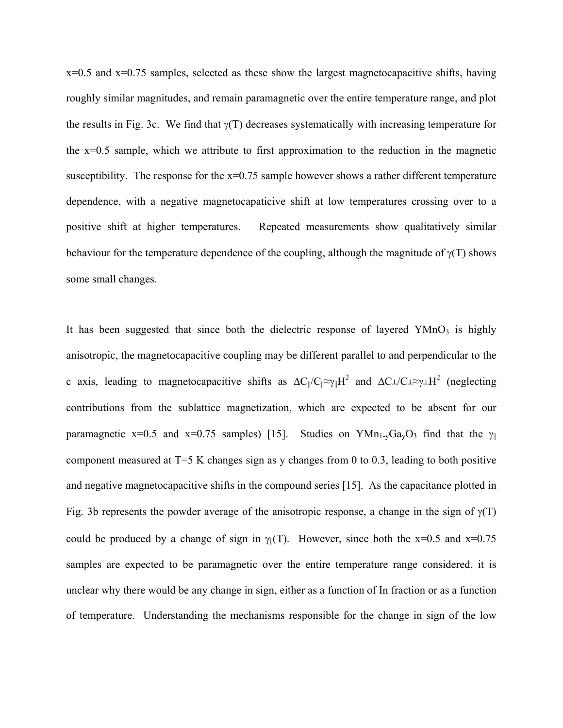$x=0.5$  and  $x=0.75$  samples, selected as these show the largest magnetocapacitive shifts, having roughly similar magnitudes, and remain paramagnetic over the entire temperature range, and plot the results in Fig. 3c. We find that  $\gamma(T)$  decreases systematically with increasing temperature for the x=0.5 sample, which we attribute to first approximation to the reduction in the magnetic susceptibility. The response for the  $x=0.75$  sample however shows a rather different temperature dependence, with a negative magnetocapaticive shift at low temperatures crossing over to a positive shift at higher temperatures. Repeated measurements show qualitatively similar behaviour for the temperature dependence of the coupling, although the magnitude of  $\gamma(T)$  shows some small changes.

It has been suggested that since both the dielectric response of layered  $YMnO<sub>3</sub>$  is highly anisotropic, the magnetocapacitive coupling may be different parallel to and perpendicular to the c axis, leading to magnetocapacitive shifts as  $\Delta C_{\parallel}/C_{\parallel} \approx \gamma_{\parallel} H^2$  and  $\Delta C_{\perp}/C_{\perp} \approx \gamma_{\perp} H^2$  (neglecting contributions from the sublattice magnetization, which are expected to be absent for our paramagnetic x=0.5 and x=0.75 samples) [15]. Studies on YMn<sub>1-y</sub>Ga<sub>y</sub>O<sub>3</sub> find that the  $\gamma_{\parallel}$ component measured at T=5 K changes sign as y changes from 0 to 0.3, leading to both positive and negative magnetocapacitive shifts in the compound series [15]. As the capacitance plotted in Fig. 3b represents the powder average of the anisotropic response, a change in the sign of  $\gamma(T)$ could be produced by a change of sign in  $\gamma$ <sub>||</sub>(T). However, since both the x=0.5 and x=0.75 samples are expected to be paramagnetic over the entire temperature range considered, it is unclear why there would be any change in sign, either as a function of In fraction or as a function of temperature. Understanding the mechanisms responsible for the change in sign of the low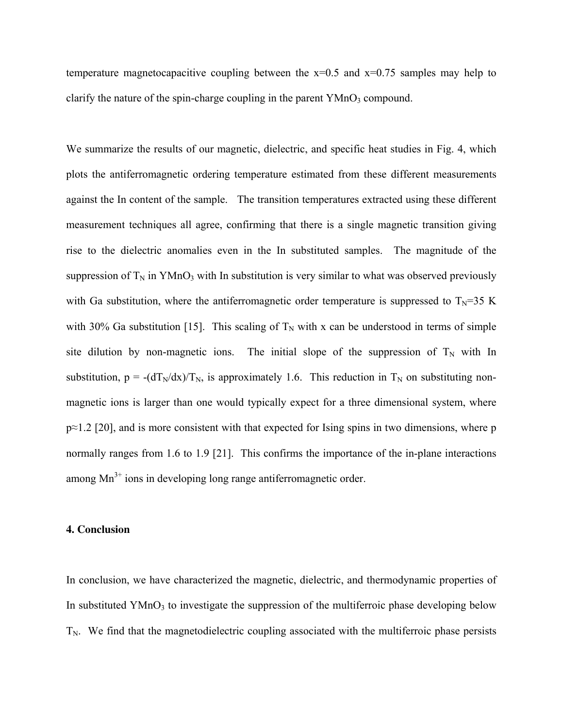temperature magnetocapacitive coupling between the  $x=0.5$  and  $x=0.75$  samples may help to clarify the nature of the spin-charge coupling in the parent  $YMnO<sub>3</sub>$  compound.

We summarize the results of our magnetic, dielectric, and specific heat studies in Fig. 4, which plots the antiferromagnetic ordering temperature estimated from these different measurements against the In content of the sample. The transition temperatures extracted using these different measurement techniques all agree, confirming that there is a single magnetic transition giving rise to the dielectric anomalies even in the In substituted samples. The magnitude of the suppression of  $T_N$  in YMnO<sub>3</sub> with In substitution is very similar to what was observed previously with Ga substitution, where the antiferromagnetic order temperature is suppressed to  $T_N=35$  K with 30% Ga substitution [15]. This scaling of  $T_N$  with x can be understood in terms of simple site dilution by non-magnetic ions. The initial slope of the suppression of  $T_N$  with In substitution,  $p = -(dT_N/dx)/T_N$ , is approximately 1.6. This reduction in T<sub>N</sub> on substituting nonmagnetic ions is larger than one would typically expect for a three dimensional system, where p≈1.2 [20], and is more consistent with that expected for Ising spins in two dimensions, where p normally ranges from 1.6 to 1.9 [21]. This confirms the importance of the in-plane interactions among  $Mn^{3+}$  ions in developing long range antiferromagnetic order.

#### **4. Conclusion**

In conclusion, we have characterized the magnetic, dielectric, and thermodynamic properties of In substituted  $YMnO<sub>3</sub>$  to investigate the suppression of the multiferroic phase developing below  $T_N$ . We find that the magnetodielectric coupling associated with the multiferroic phase persists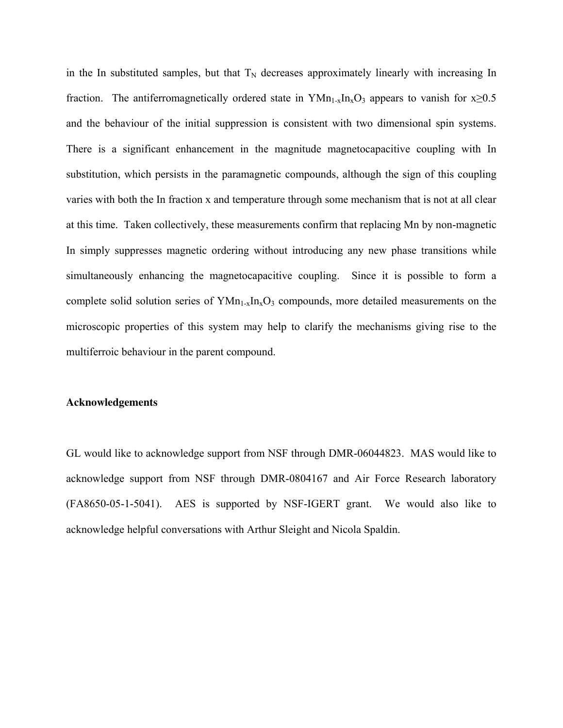in the In substituted samples, but that  $T_N$  decreases approximately linearly with increasing In fraction. The antiferromagnetically ordered state in YMn<sub>1-x</sub>In<sub>x</sub>O<sub>3</sub> appears to vanish for x $\geq$ 0.5 and the behaviour of the initial suppression is consistent with two dimensional spin systems. There is a significant enhancement in the magnitude magnetocapacitive coupling with In substitution, which persists in the paramagnetic compounds, although the sign of this coupling varies with both the In fraction x and temperature through some mechanism that is not at all clear at this time. Taken collectively, these measurements confirm that replacing Mn by non-magnetic In simply suppresses magnetic ordering without introducing any new phase transitions while simultaneously enhancing the magnetocapacitive coupling. Since it is possible to form a complete solid solution series of  $YMn_{1-x}In_xO_3$  compounds, more detailed measurements on the microscopic properties of this system may help to clarify the mechanisms giving rise to the multiferroic behaviour in the parent compound.

# **Acknowledgements**

GL would like to acknowledge support from NSF through DMR-06044823. MAS would like to acknowledge support from NSF through DMR-0804167 and Air Force Research laboratory (FA8650-05-1-5041). AES is supported by NSF-IGERT grant. We would also like to acknowledge helpful conversations with Arthur Sleight and Nicola Spaldin.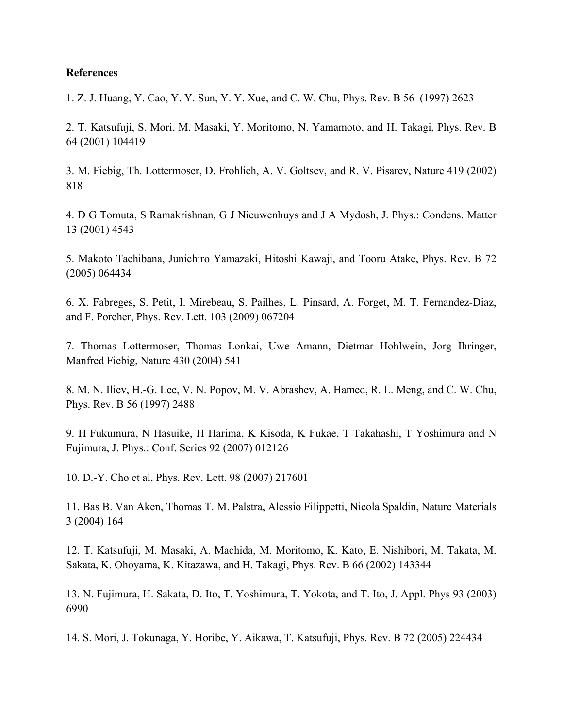# **References**

1. Z. J. Huang, Y. Cao, Y. Y. Sun, Y. Y. Xue, and C. W. Chu, Phys. Rev. B 56 (1997) 2623

2. T. Katsufuji, S. Mori, M. Masaki, Y. Moritomo, N. Yamamoto, and H. Takagi, Phys. Rev. B 64 (2001) 104419

3. M. Fiebig, Th. Lottermoser, D. Frohlich, A. V. Goltsev, and R. V. Pisarev, Nature 419 (2002) 818

4. D G Tomuta, S Ramakrishnan, G J Nieuwenhuys and J A Mydosh, J. Phys.: Condens. Matter 13 (2001) 4543

5. Makoto Tachibana, Junichiro Yamazaki, Hitoshi Kawaji, and Tooru Atake, Phys. Rev. B 72 (2005) 064434

6. X. Fabreges, S. Petit, I. Mirebeau, S. Pailhes, L. Pinsard, A. Forget, M. T. Fernandez-Diaz, and F. Porcher, Phys. Rev. Lett. 103 (2009) 067204

7. Thomas Lottermoser, Thomas Lonkai, Uwe Amann, Dietmar Hohlwein, Jorg Ihringer, Manfred Fiebig, Nature 430 (2004) 541

8. M. N. Iliev, H.-G. Lee, V. N. Popov, M. V. Abrashev, A. Hamed, R. L. Meng, and C. W. Chu, Phys. Rev. B 56 (1997) 2488

9. H Fukumura, N Hasuike, H Harima, K Kisoda, K Fukae, T Takahashi, T Yoshimura and N Fujimura, J. Phys.: Conf. Series 92 (2007) 012126

10. D.-Y. Cho et al, Phys. Rev. Lett. 98 (2007) 217601

11. Bas B. Van Aken, Thomas T. M. Palstra, Alessio Filippetti, Nicola Spaldin, Nature Materials 3 (2004) 164

12. T. Katsufuji, M. Masaki, A. Machida, M. Moritomo, K. Kato, E. Nishibori, M. Takata, M. Sakata, K. Ohoyama, K. Kitazawa, and H. Takagi, Phys. Rev. B 66 (2002) 143344

13. N. Fujimura, H. Sakata, D. Ito, T. Yoshimura, T. Yokota, and T. Ito, J. Appl. Phys 93 (2003) 6990

14. S. Mori, J. Tokunaga, Y. Horibe, Y. Aikawa, T. Katsufuji, Phys. Rev. B 72 (2005) 224434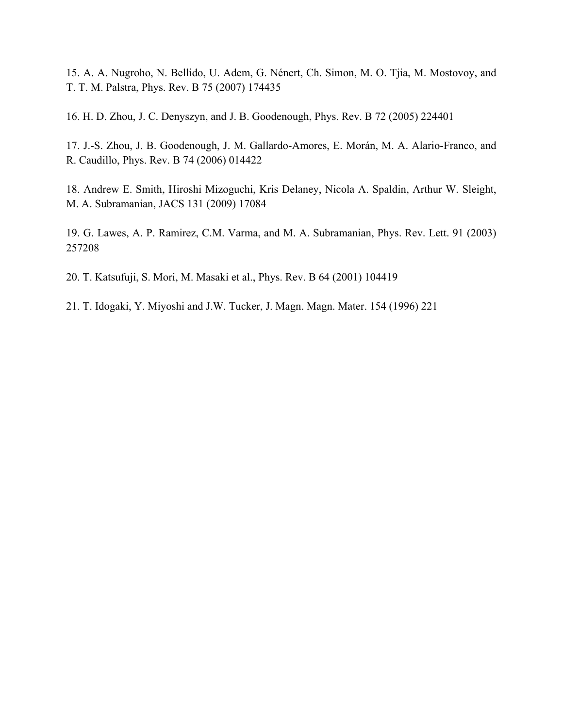15. A. A. Nugroho, N. Bellido, U. Adem, G. Nénert, Ch. Simon, M. O. Tjia, M. Mostovoy, and T. T. M. Palstra, Phys. Rev. B 75 (2007) 174435

16. H. D. Zhou, J. C. Denyszyn, and J. B. Goodenough, Phys. Rev. B 72 (2005) 224401

17. J.-S. Zhou, J. B. Goodenough, J. M. Gallardo-Amores, E. Morán, M. A. Alario-Franco, and R. Caudillo, Phys. Rev. B 74 (2006) 014422

18. Andrew E. Smith, Hiroshi Mizoguchi, Kris Delaney, Nicola A. Spaldin, Arthur W. Sleight, M. A. Subramanian, JACS 131 (2009) 17084

19. G. Lawes, A. P. Ramirez, C.M. Varma, and M. A. Subramanian, Phys. Rev. Lett. 91 (2003) 257208

20. T. Katsufuji, S. Mori, M. Masaki et al., Phys. Rev. B 64 (2001) 104419

21. T. Idogaki, Y. Miyoshi and J.W. Tucker, J. Magn. Magn. Mater. 154 (1996) 221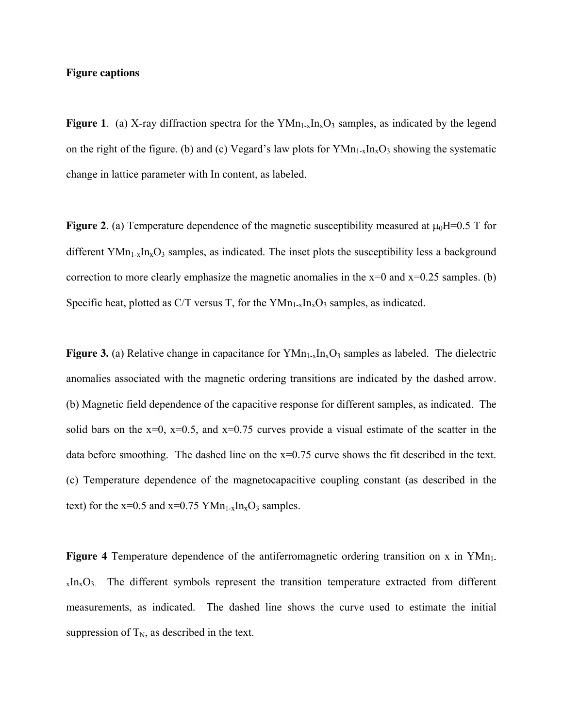# **Figure captions**

**Figure 1.** (a) X-ray diffraction spectra for the  $YMn_{1-x}In_xO_3$  samples, as indicated by the legend on the right of the figure. (b) and (c) Vegard's law plots for  $YMn_{1-x}In_xO_3$  showing the systematic change in lattice parameter with In content, as labeled.

**Figure 2**. (a) Temperature dependence of the magnetic susceptibility measured at  $\mu_0H=0.5$  T for different  $YMn_{1-x}In_xO_3$  samples, as indicated. The inset plots the susceptibility less a background correction to more clearly emphasize the magnetic anomalies in the  $x=0$  and  $x=0.25$  samples. (b) Specific heat, plotted as C/T versus T, for the  $YMn_{1-x}In_xO_3$  samples, as indicated.

**Figure 3.** (a) Relative change in capacitance for  $YMn_{1-x}In_xO_3$  samples as labeled. The dielectric anomalies associated with the magnetic ordering transitions are indicated by the dashed arrow. (b) Magnetic field dependence of the capacitive response for different samples, as indicated. The solid bars on the  $x=0$ ,  $x=0.5$ , and  $x=0.75$  curves provide a visual estimate of the scatter in the data before smoothing. The dashed line on the x=0.75 curve shows the fit described in the text. (c) Temperature dependence of the magnetocapacitive coupling constant (as described in the text) for the  $x=0.5$  and  $x=0.75$  YMn<sub>1-x</sub>In<sub>x</sub>O<sub>3</sub> samples.

**Figure 4** Temperature dependence of the antiferromagnetic ordering transition on x in YMn<sub>1</sub>.  $xIn_xO_3$ . The different symbols represent the transition temperature extracted from different measurements, as indicated. The dashed line shows the curve used to estimate the initial suppression of  $T_N$ , as described in the text.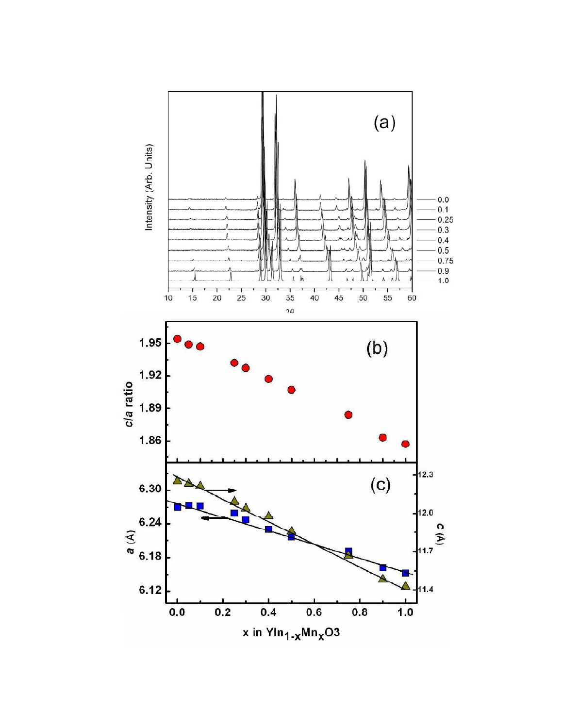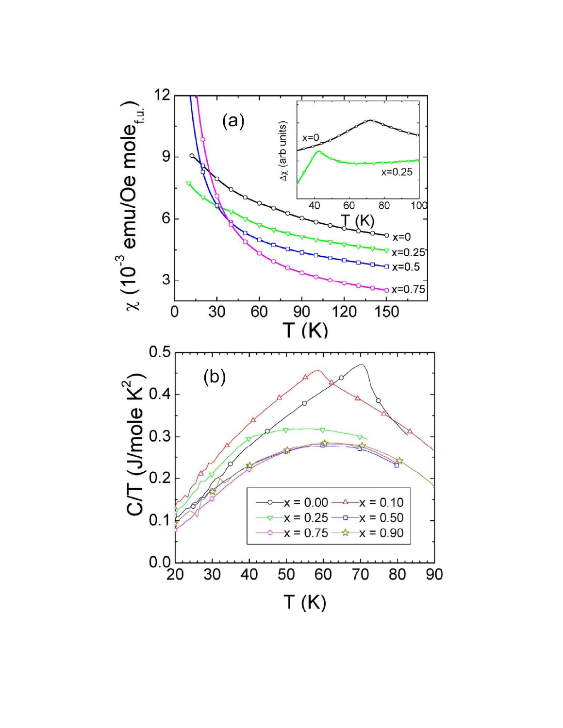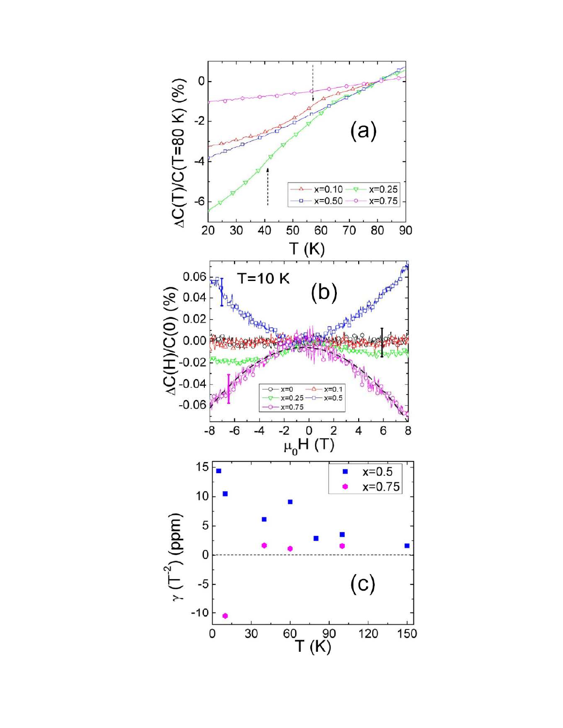